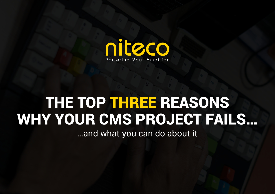

# THE TOP THREE REASONS WHY YOUR CMS PROJECT FAILS…

…and what you can do about it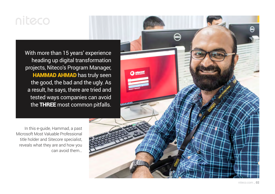## niteco

With more than 15 years' experience heading up digital transformation projects, Niteco's Program Manager, **HAMMAD AHMAD** has truly seen the good, the bad and the ugly. As a result, he says, there are tried and tested ways companies can avoid the THREE most common pitfalls.

In this e-guide, Hammad, a past Microsoft Most Valuable Professional title holder and Sitecore specialist, reveals what they are and how you can avoid them…

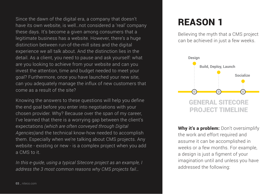Since the dawn of the digital era, a company that doesn't have its own website, is well…not considered a 'real' company these days. It's become a given among consumers that a legitimate business has a website. However, there's a huge distinction between run-of-the-mill sites and the digital experience we all talk about. And the distinction lies in the detail. As a client, you need to pause and ask yourself: what are you looking to achieve from your website and can you invest the attention, time and budget needed to meet your goal? Furthermore, once you have launched your new site, can you adequately manage the influx of new customers that come as a result of the site?

Knowing the answers to these questions will help you define the end goal before you enter into negotiations with your chosen provider. Why? Because over the span of my career, I've learned that there is a worrying gap between the client's expectations *(which are often conveyed through Digital Agencies)*and the technical know-how needed to accomplish them. Especially when we're talking about CMS projects. Any website - existing or new - is a complex project when you add a CMS to it.

*In this e-guide, using a typical Sitecore project as an example, I address the 3 most common reasons why CMS projects fail…*

## REASON 1

Believing the myth that a CMS project can be achieved in just a few weeks.



Why it's a problem: Don't oversimplify the work and effort required and assume it can be accomplished in weeks or a few months. For example, a design is just a figment of your imagination until and unless you have addressed the following:

03 niteco.com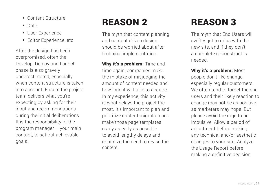- Content Structure
- Date
- User Experience
- Editor Experience, etc

After the design has been overpromised, often the Develop, Deploy and Launch phase is also gravely underestimated, especially when content structure is taken into account. Ensure the project team delivers what you're expecting by asking for their input and recommendations during the initial deliberations. It is the responsibility of the program manager – your main contact, to set out achievable goals.

## REASON 2

The myth that content planning and content driven design should be worried about after technical implementation.

Why it's a problem: Time and time again, companies make the mistake of misjudging the amount of content needed and how long it will take to acquire. In my experience, this activity is what delays the project the most. It's important to plan and prioritize content migration and make those page templates ready as early as possible to avoid lengthy delays and minimize the need to revise the content.

## REASON 3

The myth that End Users will swiftly get to grips with the new site, and if they don't a complete re-construct is needed.

Why it's a problem: Most people don't like change, especially regular customers. We often tend to forget the end users and their likely reaction to change may not be as positive as marketers may hope. But please avoid the urge to be impulsive. Allow a period of adjustment before making any technical and/or aesthetic changes to your site. Analyze the Usage Report before making a definitive decision.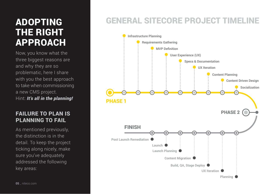## ADOPTING THE RIGHT APPROACH

Now, you know what the three biggest reasons are and why they are so problematic, here I share with you the best approach to take when commissioning a new CMS project. Hint: *It's all in the planning!*

#### FAILURE TO PLAN IS PLANNING TO FAIL

As mentioned previously, the distinction is in the detail. To keep the project ticking along nicely, make sure you've adequately addressed the following key areas:

#### GENERAL SITECORE PROJECT TIMELINE

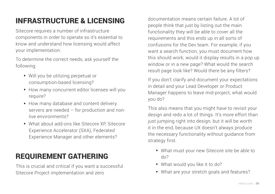#### INFRASTRUCTURE & LICENSING

Sitecore requires a number of infrastructure components in order to operate so it's essential to know and understand how licensing would affect your implementation.

To determine the correct needs, ask yourself the following:

- Will you be utilizing perpetual or consumption-based licensing?
- How many concurrent editor licenses will you require?
- How many database and content delivery servers are needed – for production and nonlive environments?
- What about add-ons like Sitecore XP, Sitecore Experience Accelerator (SXA), Federated Experience Manager and other elements?

#### REQUIREMENT GATHERING

This is crucial and critical if you want a successful Sitecore Project implementation and zero

documentation means certain failure. A lot of people think that just by listing out the main functionality they will be able to cover all the requirements and this ends up in all sorts of confusions for the Dev team. For example, if you want a search function, you must document how this should work; would it display results in a pop up window or in a new page? What would the search result page look like? Would there be any filters?

If you don't clarify and document your expectations in detail and your Lead Developer or Product Manager happens to leave mid-project, what would you do?

This also means that you might have to revisit your design and redo a lot of things. It's more effort than just jumping right into design, but it will be worth it in the end, because UX doesn't always produce the necessary functionality without guidance from strategy first.

- What must your new Sitecore site be able to do?
- What would you like it to do?
- What are your stretch goals and features?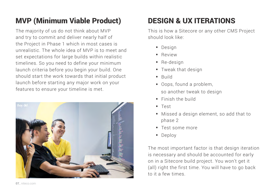#### MVP (Minimum Viable Product)

The majority of us do not think about MVP and try to commit and deliver nearly half of the Project in Phase 1 which in most cases is unrealistic. The whole idea of MVP is to meet and set expectations for large builds within realistic timelines. So you need to define your minimum launch criteria before you begin your build. One should start the work towards that initial product launch before starting any major work on your features to ensure your timeline is met.



### DESIGN & UX ITERATIONS

This is how a Sitecore or any other CMS Project should look like:

- Design
- Review
- Re-design
- Tweak that design
- Build
- Oops, found a problem, so another tweak to design
- Finish the build
- Test
- Missed a design element, so add that to phase 2
- Test some more
- Deploy

The most important factor is that design iteration is necessary and should be accounted for early on in a Sitecore build project. You won't get it (all) right the first time. You will have to go back to it a few times.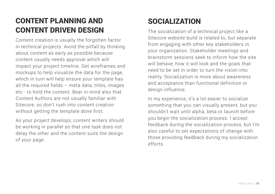#### CONTENT PLANNING AND CONTENT DRIVEN DESIGN

Content creation is usually the forgotten factor in technical projects. Avoid the pitfall by thinking about content as early as possible because content usually needs approval which will impact your project timeline. Get wireframes and mockups to help visualize the data for the page, which in turn will help ensure your template has all the required fields  $-$  meta data, titles, images etc - to hold the content. Bear in mind also that Content Authors are not usually familiar with Sitecore, so don't rush into content creation without getting the template done first.

As your project develops, content writers should be working in parallel so that one task does not delay the other and the content suits the design of your page.

#### **SOCIALIZATION**

The socialization of a technical project like a Sitecore website build is related to, but separate from engaging with other key stakeholders in your organization. Stakeholder meetings and brainstorm sessions seek to inform how the site will behave, how it will look and the goals that need to be set in order to turn the vision into reality. Socialization is more about awareness and acceptance than functional definition or design influence.

In my experience, it's a lot easier to socialize something that you can visually present, but you shouldn't wait until alpha, beta or launch before you begin the socialization process. I accept feedback during the socialization process, but I'm also careful to set expectations of change with those providing feedback during my socialization efforts.